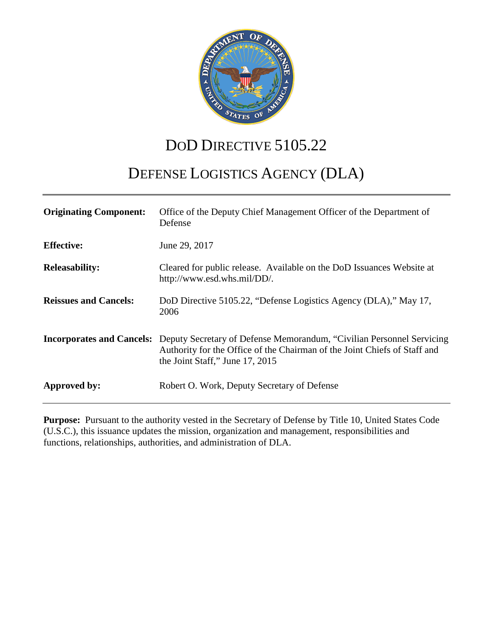

# DOD DIRECTIVE 5105.22

## DEFENSE LOGISTICS AGENCY (DLA)

| <b>Originating Component:</b> | Office of the Deputy Chief Management Officer of the Department of<br>Defense                                                                                                                                          |
|-------------------------------|------------------------------------------------------------------------------------------------------------------------------------------------------------------------------------------------------------------------|
| <b>Effective:</b>             | June 29, 2017                                                                                                                                                                                                          |
| <b>Releasability:</b>         | Cleared for public release. Available on the DoD Issuances Website at<br>http://www.esd.whs.mil/DD/.                                                                                                                   |
| <b>Reissues and Cancels:</b>  | DoD Directive 5105.22, "Defense Logistics Agency (DLA)," May 17,<br>2006                                                                                                                                               |
|                               | <b>Incorporates and Cancels:</b> Deputy Secretary of Defense Memorandum, "Civilian Personnel Servicing<br>Authority for the Office of the Chairman of the Joint Chiefs of Staff and<br>the Joint Staff," June 17, 2015 |
| Approved by:                  | Robert O. Work, Deputy Secretary of Defense                                                                                                                                                                            |

**Purpose:** Pursuant to the authority vested in the Secretary of Defense by Title 10, United States Code (U.S.C.), this issuance updates the mission, organization and management, responsibilities and functions, relationships, authorities, and administration of DLA.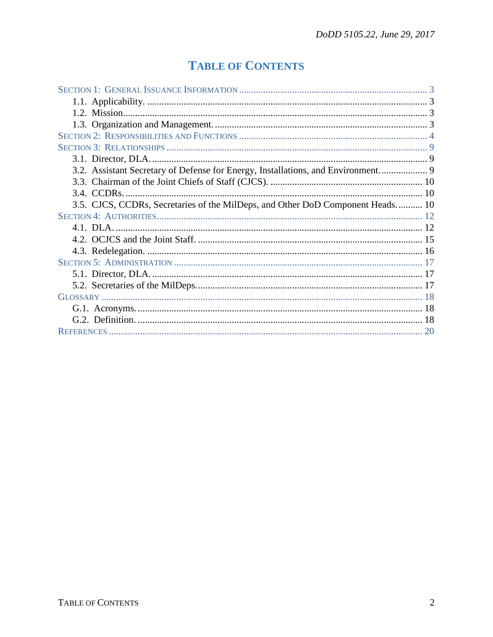## **TABLE OF CONTENTS**

| 3.2. Assistant Secretary of Defense for Energy, Installations, and Environment |  |
|--------------------------------------------------------------------------------|--|
|                                                                                |  |
|                                                                                |  |
| 3.5. CJCS, CCDRs, Secretaries of the MilDeps, and Other DoD Component Heads 10 |  |
|                                                                                |  |
|                                                                                |  |
|                                                                                |  |
|                                                                                |  |
|                                                                                |  |
|                                                                                |  |
|                                                                                |  |
|                                                                                |  |
|                                                                                |  |
|                                                                                |  |
|                                                                                |  |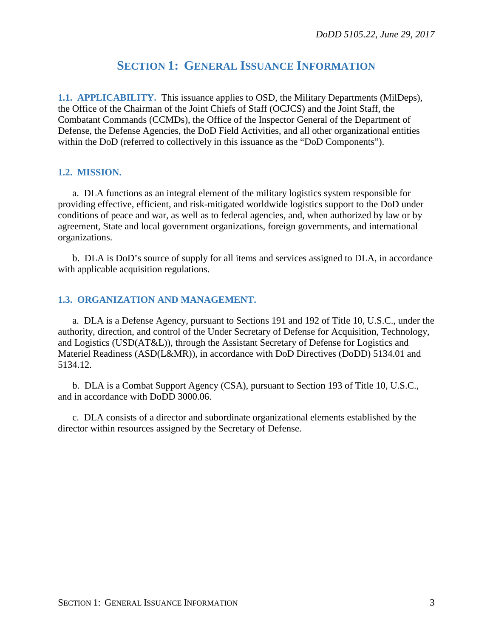### **SECTION 1: GENERAL ISSUANCE INFORMATION**

**1.1. APPLICABILITY.** This issuance applies to OSD, the Military Departments (MilDeps), the Office of the Chairman of the Joint Chiefs of Staff (OCJCS) and the Joint Staff, the Combatant Commands (CCMDs), the Office of the Inspector General of the Department of Defense, the Defense Agencies, the DoD Field Activities, and all other organizational entities within the DoD (referred to collectively in this issuance as the "DoD Components").

#### **1.2. MISSION.**

a. DLA functions as an integral element of the military logistics system responsible for providing effective, efficient, and risk-mitigated worldwide logistics support to the DoD under conditions of peace and war, as well as to federal agencies, and, when authorized by law or by agreement, State and local government organizations, foreign governments, and international organizations.

b. DLA is DoD's source of supply for all items and services assigned to DLA, in accordance with applicable acquisition regulations.

#### **1.3. ORGANIZATION AND MANAGEMENT.**

a. DLA is a Defense Agency, pursuant to Sections 191 and 192 of Title 10, U.S.C., under the authority, direction, and control of the Under Secretary of Defense for Acquisition, Technology, and Logistics (USD(AT&L)), through the Assistant Secretary of Defense for Logistics and Materiel Readiness (ASD(L&MR)), in accordance with DoD Directives (DoDD) 5134.01 and 5134.12.

b. DLA is a Combat Support Agency (CSA), pursuant to Section 193 of Title 10, U.S.C., and in accordance with DoDD 3000.06.

c. DLA consists of a director and subordinate organizational elements established by the director within resources assigned by the Secretary of Defense.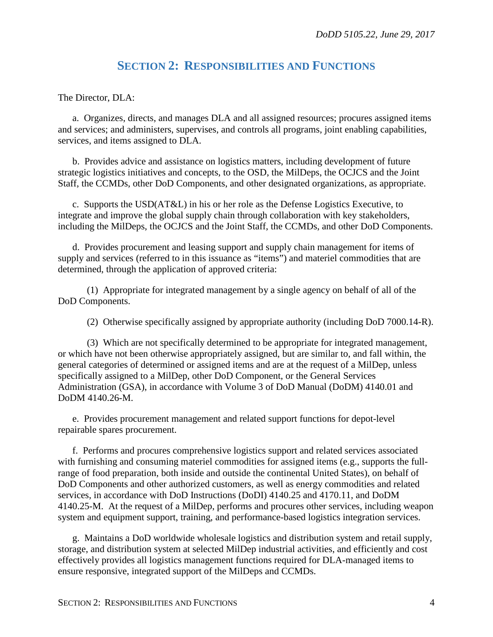### **SECTION 2: RESPONSIBILITIES AND FUNCTIONS**

The Director, DLA:

a. Organizes, directs, and manages DLA and all assigned resources; procures assigned items and services; and administers, supervises, and controls all programs, joint enabling capabilities, services, and items assigned to DLA.

b. Provides advice and assistance on logistics matters, including development of future strategic logistics initiatives and concepts, to the OSD, the MilDeps, the OCJCS and the Joint Staff, the CCMDs, other DoD Components, and other designated organizations, as appropriate.

c. Supports the USD(AT&L) in his or her role as the Defense Logistics Executive, to integrate and improve the global supply chain through collaboration with key stakeholders, including the MilDeps, the OCJCS and the Joint Staff, the CCMDs, and other DoD Components.

d. Provides procurement and leasing support and supply chain management for items of supply and services (referred to in this issuance as "items") and materiel commodities that are determined, through the application of approved criteria:

(1) Appropriate for integrated management by a single agency on behalf of all of the DoD Components.

(2) Otherwise specifically assigned by appropriate authority (including DoD 7000.14-R).

(3) Which are not specifically determined to be appropriate for integrated management, or which have not been otherwise appropriately assigned, but are similar to, and fall within, the general categories of determined or assigned items and are at the request of a MilDep, unless specifically assigned to a MilDep, other DoD Component, or the General Services Administration (GSA), in accordance with Volume 3 of DoD Manual (DoDM) 4140.01 and DoDM 4140.26-M.

e. Provides procurement management and related support functions for depot-level repairable spares procurement.

f. Performs and procures comprehensive logistics support and related services associated with furnishing and consuming materiel commodities for assigned items (e.g., supports the fullrange of food preparation, both inside and outside the continental United States), on behalf of DoD Components and other authorized customers, as well as energy commodities and related services, in accordance with DoD Instructions (DoDI) 4140.25 and 4170.11, and DoDM 4140.25-M. At the request of a MilDep, performs and procures other services, including weapon system and equipment support, training, and performance-based logistics integration services.

g. Maintains a DoD worldwide wholesale logistics and distribution system and retail supply, storage, and distribution system at selected MilDep industrial activities, and efficiently and cost effectively provides all logistics management functions required for DLA-managed items to ensure responsive, integrated support of the MilDeps and CCMDs.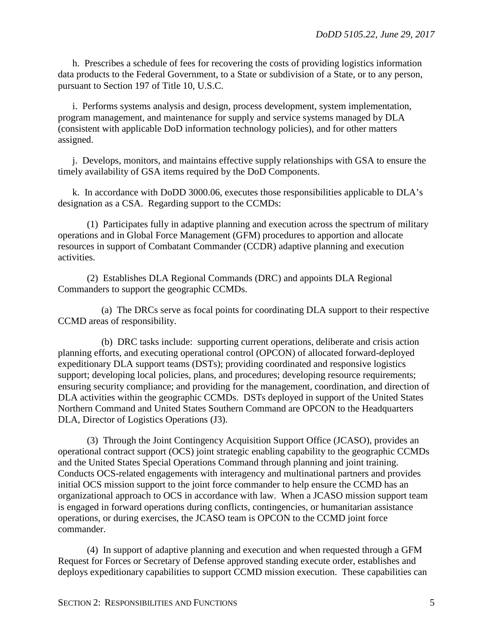h. Prescribes a schedule of fees for recovering the costs of providing logistics information data products to the Federal Government, to a State or subdivision of a State, or to any person, pursuant to Section 197 of Title 10, U.S.C.

i. Performs systems analysis and design, process development, system implementation, program management, and maintenance for supply and service systems managed by DLA (consistent with applicable DoD information technology policies), and for other matters assigned.

j. Develops, monitors, and maintains effective supply relationships with GSA to ensure the timely availability of GSA items required by the DoD Components.

k. In accordance with DoDD 3000.06, executes those responsibilities applicable to DLA's designation as a CSA. Regarding support to the CCMDs:

(1) Participates fully in adaptive planning and execution across the spectrum of military operations and in Global Force Management (GFM) procedures to apportion and allocate resources in support of Combatant Commander (CCDR) adaptive planning and execution activities.

(2) Establishes DLA Regional Commands (DRC) and appoints DLA Regional Commanders to support the geographic CCMDs.

(a) The DRCs serve as focal points for coordinating DLA support to their respective CCMD areas of responsibility.

(b) DRC tasks include: supporting current operations, deliberate and crisis action planning efforts, and executing operational control (OPCON) of allocated forward-deployed expeditionary DLA support teams (DSTs); providing coordinated and responsive logistics support; developing local policies, plans, and procedures; developing resource requirements; ensuring security compliance; and providing for the management, coordination, and direction of DLA activities within the geographic CCMDs. DSTs deployed in support of the United States Northern Command and United States Southern Command are OPCON to the Headquarters DLA, Director of Logistics Operations (J3).

(3) Through the Joint Contingency Acquisition Support Office (JCASO), provides an operational contract support (OCS) joint strategic enabling capability to the geographic CCMDs and the United States Special Operations Command through planning and joint training. Conducts OCS-related engagements with interagency and multinational partners and provides initial OCS mission support to the joint force commander to help ensure the CCMD has an organizational approach to OCS in accordance with law. When a JCASO mission support team is engaged in forward operations during conflicts, contingencies, or humanitarian assistance operations, or during exercises, the JCASO team is OPCON to the CCMD joint force commander.

(4) In support of adaptive planning and execution and when requested through a GFM Request for Forces or Secretary of Defense approved standing execute order, establishes and deploys expeditionary capabilities to support CCMD mission execution. These capabilities can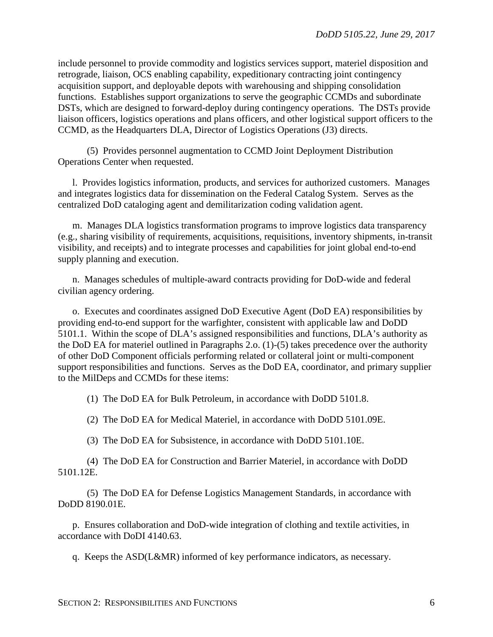include personnel to provide commodity and logistics services support, materiel disposition and retrograde, liaison, OCS enabling capability, expeditionary contracting joint contingency acquisition support, and deployable depots with warehousing and shipping consolidation functions. Establishes support organizations to serve the geographic CCMDs and subordinate DSTs, which are designed to forward-deploy during contingency operations. The DSTs provide liaison officers, logistics operations and plans officers, and other logistical support officers to the CCMD, as the Headquarters DLA, Director of Logistics Operations (J3) directs.

(5) Provides personnel augmentation to CCMD Joint Deployment Distribution Operations Center when requested.

l. Provides logistics information, products, and services for authorized customers. Manages and integrates logistics data for dissemination on the Federal Catalog System. Serves as the centralized DoD cataloging agent and demilitarization coding validation agent.

m. Manages DLA logistics transformation programs to improve logistics data transparency (e.g., sharing visibility of requirements, acquisitions, requisitions, inventory shipments, in-transit visibility, and receipts) and to integrate processes and capabilities for joint global end-to-end supply planning and execution.

n. Manages schedules of multiple-award contracts providing for DoD-wide and federal civilian agency ordering.

o. Executes and coordinates assigned DoD Executive Agent (DoD EA) responsibilities by providing end-to-end support for the warfighter, consistent with applicable law and DoDD 5101.1. Within the scope of DLA's assigned responsibilities and functions, DLA's authority as the DoD EA for materiel outlined in Paragraphs 2.o. (1)-(5) takes precedence over the authority of other DoD Component officials performing related or collateral joint or multi-component support responsibilities and functions. Serves as the DoD EA, coordinator, and primary supplier to the MilDeps and CCMDs for these items:

(1) The DoD EA for Bulk Petroleum, in accordance with DoDD 5101.8.

(2) The DoD EA for Medical Materiel, in accordance with DoDD 5101.09E.

(3) The DoD EA for Subsistence, in accordance with DoDD 5101.10E.

(4) The DoD EA for Construction and Barrier Materiel, in accordance with DoDD 5101.12E.

(5) The DoD EA for Defense Logistics Management Standards, in accordance with DoDD 8190.01E.

p. Ensures collaboration and DoD-wide integration of clothing and textile activities, in accordance with DoDI 4140.63.

q. Keeps the ASD(L&MR) informed of key performance indicators, as necessary.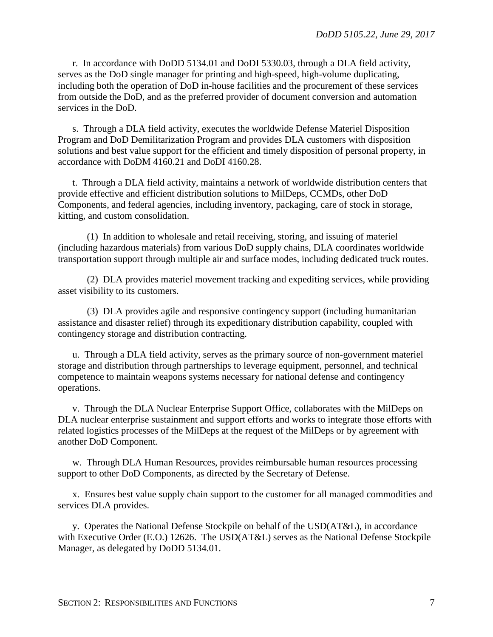r. In accordance with DoDD 5134.01 and DoDI 5330.03, through a DLA field activity, serves as the DoD single manager for printing and high-speed, high-volume duplicating, including both the operation of DoD in-house facilities and the procurement of these services from outside the DoD, and as the preferred provider of document conversion and automation services in the DoD.

s. Through a DLA field activity, executes the worldwide Defense Materiel Disposition Program and DoD Demilitarization Program and provides DLA customers with disposition solutions and best value support for the efficient and timely disposition of personal property, in accordance with DoDM 4160.21 and DoDI 4160.28.

t. Through a DLA field activity, maintains a network of worldwide distribution centers that provide effective and efficient distribution solutions to MilDeps, CCMDs, other DoD Components, and federal agencies, including inventory, packaging, care of stock in storage, kitting, and custom consolidation.

(1) In addition to wholesale and retail receiving, storing, and issuing of materiel (including hazardous materials) from various DoD supply chains, DLA coordinates worldwide transportation support through multiple air and surface modes, including dedicated truck routes.

(2) DLA provides materiel movement tracking and expediting services, while providing asset visibility to its customers.

(3) DLA provides agile and responsive contingency support (including humanitarian assistance and disaster relief) through its expeditionary distribution capability, coupled with contingency storage and distribution contracting.

u. Through a DLA field activity, serves as the primary source of non-government materiel storage and distribution through partnerships to leverage equipment, personnel, and technical competence to maintain weapons systems necessary for national defense and contingency operations.

v. Through the DLA Nuclear Enterprise Support Office, collaborates with the MilDeps on DLA nuclear enterprise sustainment and support efforts and works to integrate those efforts with related logistics processes of the MilDeps at the request of the MilDeps or by agreement with another DoD Component.

w. Through DLA Human Resources, provides reimbursable human resources processing support to other DoD Components, as directed by the Secretary of Defense.

x. Ensures best value supply chain support to the customer for all managed commodities and services DLA provides.

y. Operates the National Defense Stockpile on behalf of the USD(AT&L), in accordance with Executive Order (E.O.) 12626. The USD(AT&L) serves as the National Defense Stockpile Manager, as delegated by DoDD 5134.01.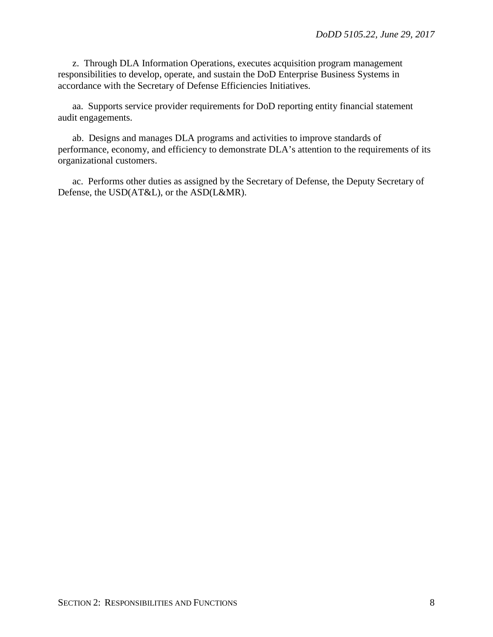z. Through DLA Information Operations, executes acquisition program management responsibilities to develop, operate, and sustain the DoD Enterprise Business Systems in accordance with the Secretary of Defense Efficiencies Initiatives.

aa. Supports service provider requirements for DoD reporting entity financial statement audit engagements.

ab. Designs and manages DLA programs and activities to improve standards of performance, economy, and efficiency to demonstrate DLA's attention to the requirements of its organizational customers.

ac. Performs other duties as assigned by the Secretary of Defense, the Deputy Secretary of Defense, the USD(AT&L), or the ASD(L&MR).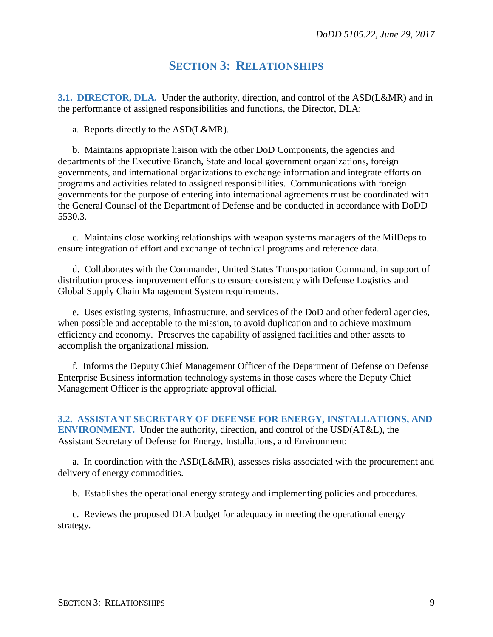### **SECTION 3: RELATIONSHIPS**

**3.1. DIRECTOR, DLA.** Under the authority, direction, and control of the ASD(L&MR) and in the performance of assigned responsibilities and functions, the Director, DLA:

a. Reports directly to the ASD(L&MR).

b. Maintains appropriate liaison with the other DoD Components, the agencies and departments of the Executive Branch, State and local government organizations, foreign governments, and international organizations to exchange information and integrate efforts on programs and activities related to assigned responsibilities. Communications with foreign governments for the purpose of entering into international agreements must be coordinated with the General Counsel of the Department of Defense and be conducted in accordance with DoDD 5530.3.

c. Maintains close working relationships with weapon systems managers of the MilDeps to ensure integration of effort and exchange of technical programs and reference data.

d. Collaborates with the Commander, United States Transportation Command, in support of distribution process improvement efforts to ensure consistency with Defense Logistics and Global Supply Chain Management System requirements.

e. Uses existing systems, infrastructure, and services of the DoD and other federal agencies, when possible and acceptable to the mission, to avoid duplication and to achieve maximum efficiency and economy. Preserves the capability of assigned facilities and other assets to accomplish the organizational mission.

f. Informs the Deputy Chief Management Officer of the Department of Defense on Defense Enterprise Business information technology systems in those cases where the Deputy Chief Management Officer is the appropriate approval official.

**3.2. ASSISTANT SECRETARY OF DEFENSE FOR ENERGY, INSTALLATIONS, AND ENVIRONMENT.** Under the authority, direction, and control of the USD(AT&L), the Assistant Secretary of Defense for Energy, Installations, and Environment:

a. In coordination with the ASD(L&MR), assesses risks associated with the procurement and delivery of energy commodities.

b. Establishes the operational energy strategy and implementing policies and procedures.

c. Reviews the proposed DLA budget for adequacy in meeting the operational energy strategy.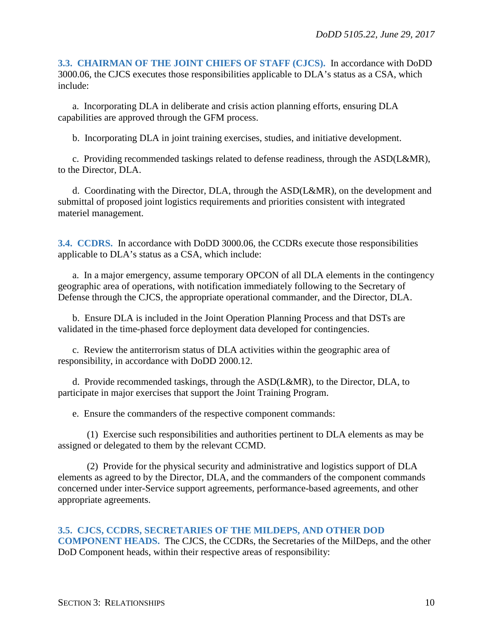**3.3. CHAIRMAN OF THE JOINT CHIEFS OF STAFF (CJCS).** In accordance with DoDD 3000.06, the CJCS executes those responsibilities applicable to DLA's status as a CSA, which include:

a. Incorporating DLA in deliberate and crisis action planning efforts, ensuring DLA capabilities are approved through the GFM process.

b. Incorporating DLA in joint training exercises, studies, and initiative development.

c. Providing recommended taskings related to defense readiness, through the ASD(L&MR), to the Director, DLA.

d. Coordinating with the Director, DLA, through the ASD(L&MR), on the development and submittal of proposed joint logistics requirements and priorities consistent with integrated materiel management.

**3.4. CCDRS.** In accordance with DoDD 3000.06, the CCDRs execute those responsibilities applicable to DLA's status as a CSA, which include:

a. In a major emergency, assume temporary OPCON of all DLA elements in the contingency geographic area of operations, with notification immediately following to the Secretary of Defense through the CJCS, the appropriate operational commander, and the Director, DLA.

b. Ensure DLA is included in the Joint Operation Planning Process and that DSTs are validated in the time-phased force deployment data developed for contingencies.

c. Review the antiterrorism status of DLA activities within the geographic area of responsibility, in accordance with DoDD 2000.12.

d. Provide recommended taskings, through the ASD(L&MR), to the Director, DLA, to participate in major exercises that support the Joint Training Program.

e. Ensure the commanders of the respective component commands:

(1) Exercise such responsibilities and authorities pertinent to DLA elements as may be assigned or delegated to them by the relevant CCMD.

(2) Provide for the physical security and administrative and logistics support of DLA elements as agreed to by the Director, DLA, and the commanders of the component commands concerned under inter-Service support agreements, performance-based agreements, and other appropriate agreements.

#### **3.5. CJCS, CCDRS, SECRETARIES OF THE MILDEPS, AND OTHER DOD**

**COMPONENT HEADS.** The CJCS, the CCDRs, the Secretaries of the MilDeps, and the other DoD Component heads, within their respective areas of responsibility: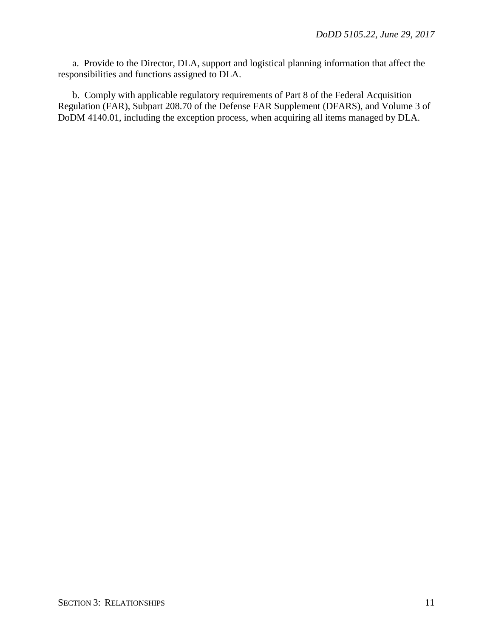a. Provide to the Director, DLA, support and logistical planning information that affect the responsibilities and functions assigned to DLA.

b. Comply with applicable regulatory requirements of Part 8 of the Federal Acquisition Regulation (FAR), Subpart 208.70 of the Defense FAR Supplement (DFARS), and Volume 3 of DoDM 4140.01, including the exception process, when acquiring all items managed by DLA.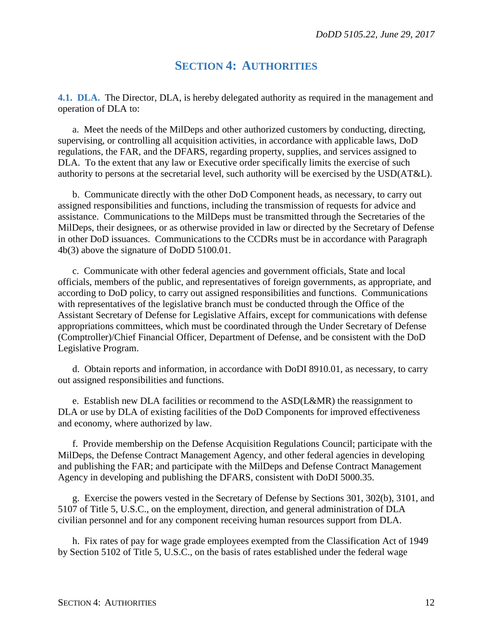### **SECTION 4: AUTHORITIES**

**4.1. DLA.** The Director, DLA, is hereby delegated authority as required in the management and operation of DLA to:

a. Meet the needs of the MilDeps and other authorized customers by conducting, directing, supervising, or controlling all acquisition activities, in accordance with applicable laws, DoD regulations, the FAR, and the DFARS, regarding property, supplies, and services assigned to DLA. To the extent that any law or Executive order specifically limits the exercise of such authority to persons at the secretarial level, such authority will be exercised by the USD(AT&L).

b. Communicate directly with the other DoD Component heads, as necessary, to carry out assigned responsibilities and functions, including the transmission of requests for advice and assistance. Communications to the MilDeps must be transmitted through the Secretaries of the MilDeps, their designees, or as otherwise provided in law or directed by the Secretary of Defense in other DoD issuances. Communications to the CCDRs must be in accordance with Paragraph 4b(3) above the signature of DoDD 5100.01.

c. Communicate with other federal agencies and government officials, State and local officials, members of the public, and representatives of foreign governments, as appropriate, and according to DoD policy, to carry out assigned responsibilities and functions. Communications with representatives of the legislative branch must be conducted through the Office of the Assistant Secretary of Defense for Legislative Affairs, except for communications with defense appropriations committees, which must be coordinated through the Under Secretary of Defense (Comptroller)/Chief Financial Officer, Department of Defense, and be consistent with the DoD Legislative Program.

d. Obtain reports and information, in accordance with DoDI 8910.01, as necessary, to carry out assigned responsibilities and functions.

e. Establish new DLA facilities or recommend to the ASD(L&MR) the reassignment to DLA or use by DLA of existing facilities of the DoD Components for improved effectiveness and economy, where authorized by law.

f. Provide membership on the Defense Acquisition Regulations Council; participate with the MilDeps, the Defense Contract Management Agency, and other federal agencies in developing and publishing the FAR; and participate with the MilDeps and Defense Contract Management Agency in developing and publishing the DFARS, consistent with DoDI 5000.35.

g. Exercise the powers vested in the Secretary of Defense by Sections 301, 302(b), 3101, and 5107 of Title 5, U.S.C., on the employment, direction, and general administration of DLA civilian personnel and for any component receiving human resources support from DLA.

h. Fix rates of pay for wage grade employees exempted from the Classification Act of 1949 by Section 5102 of Title 5, U.S.C., on the basis of rates established under the federal wage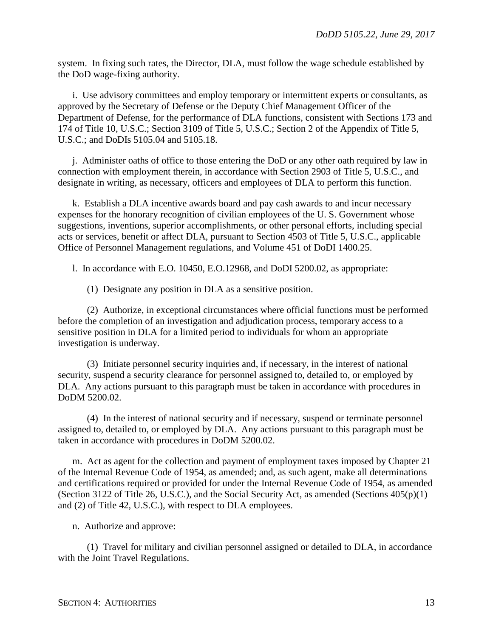system. In fixing such rates, the Director, DLA, must follow the wage schedule established by the DoD wage-fixing authority.

i. Use advisory committees and employ temporary or intermittent experts or consultants, as approved by the Secretary of Defense or the Deputy Chief Management Officer of the Department of Defense, for the performance of DLA functions, consistent with Sections 173 and 174 of Title 10, U.S.C.; Section 3109 of Title 5, U.S.C.; Section 2 of the Appendix of Title 5, U.S.C.; and DoDIs 5105.04 and 5105.18.

j. Administer oaths of office to those entering the DoD or any other oath required by law in connection with employment therein, in accordance with Section 2903 of Title 5, U.S.C., and designate in writing, as necessary, officers and employees of DLA to perform this function.

k. Establish a DLA incentive awards board and pay cash awards to and incur necessary expenses for the honorary recognition of civilian employees of the U. S. Government whose suggestions, inventions, superior accomplishments, or other personal efforts, including special acts or services, benefit or affect DLA, pursuant to Section 4503 of Title 5, U.S.C., applicable Office of Personnel Management regulations, and Volume 451 of DoDI 1400.25.

l. In accordance with E.O. 10450, E.O.12968, and DoDI 5200.02, as appropriate:

(1) Designate any position in DLA as a sensitive position.

(2) Authorize, in exceptional circumstances where official functions must be performed before the completion of an investigation and adjudication process, temporary access to a sensitive position in DLA for a limited period to individuals for whom an appropriate investigation is underway.

(3) Initiate personnel security inquiries and, if necessary, in the interest of national security, suspend a security clearance for personnel assigned to, detailed to, or employed by DLA. Any actions pursuant to this paragraph must be taken in accordance with procedures in DoDM 5200.02.

(4) In the interest of national security and if necessary, suspend or terminate personnel assigned to, detailed to, or employed by DLA. Any actions pursuant to this paragraph must be taken in accordance with procedures in DoDM 5200.02.

m. Act as agent for the collection and payment of employment taxes imposed by Chapter 21 of the Internal Revenue Code of 1954, as amended; and, as such agent, make all determinations and certifications required or provided for under the Internal Revenue Code of 1954, as amended (Section 3122 of Title 26, U.S.C.), and the Social Security Act, as amended (Sections 405(p)(1) and (2) of Title 42, U.S.C.), with respect to DLA employees.

n. Authorize and approve:

(1) Travel for military and civilian personnel assigned or detailed to DLA, in accordance with the Joint Travel Regulations.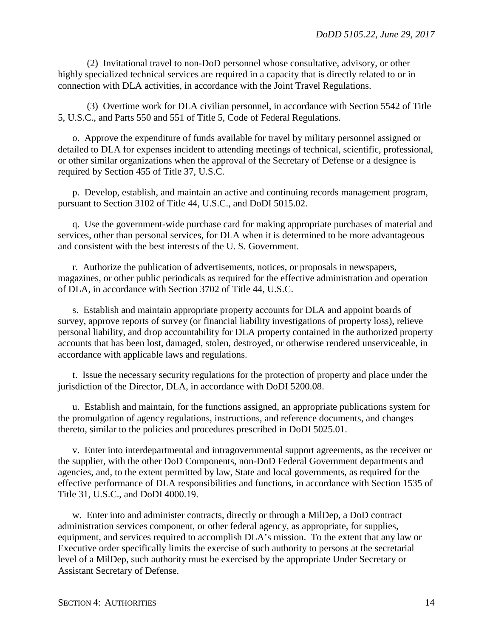(2) Invitational travel to non-DoD personnel whose consultative, advisory, or other highly specialized technical services are required in a capacity that is directly related to or in connection with DLA activities, in accordance with the Joint Travel Regulations.

(3) Overtime work for DLA civilian personnel, in accordance with Section 5542 of Title 5, U.S.C., and Parts 550 and 551 of Title 5, Code of Federal Regulations.

o. Approve the expenditure of funds available for travel by military personnel assigned or detailed to DLA for expenses incident to attending meetings of technical, scientific, professional, or other similar organizations when the approval of the Secretary of Defense or a designee is required by Section 455 of Title 37, U.S.C.

p. Develop, establish, and maintain an active and continuing records management program, pursuant to Section 3102 of Title 44, U.S.C., and DoDI 5015.02.

q. Use the government-wide purchase card for making appropriate purchases of material and services, other than personal services, for DLA when it is determined to be more advantageous and consistent with the best interests of the U. S. Government.

r. Authorize the publication of advertisements, notices, or proposals in newspapers, magazines, or other public periodicals as required for the effective administration and operation of DLA, in accordance with Section 3702 of Title 44, U.S.C.

s. Establish and maintain appropriate property accounts for DLA and appoint boards of survey, approve reports of survey (or financial liability investigations of property loss), relieve personal liability, and drop accountability for DLA property contained in the authorized property accounts that has been lost, damaged, stolen, destroyed, or otherwise rendered unserviceable, in accordance with applicable laws and regulations.

t. Issue the necessary security regulations for the protection of property and place under the jurisdiction of the Director, DLA, in accordance with DoDI 5200.08.

u. Establish and maintain, for the functions assigned, an appropriate publications system for the promulgation of agency regulations, instructions, and reference documents, and changes thereto, similar to the policies and procedures prescribed in DoDI 5025.01.

v. Enter into interdepartmental and intragovernmental support agreements, as the receiver or the supplier, with the other DoD Components, non-DoD Federal Government departments and agencies, and, to the extent permitted by law, State and local governments, as required for the effective performance of DLA responsibilities and functions, in accordance with Section 1535 of Title 31, U.S.C., and DoDI 4000.19.

w. Enter into and administer contracts, directly or through a MilDep, a DoD contract administration services component, or other federal agency, as appropriate, for supplies, equipment, and services required to accomplish DLA's mission. To the extent that any law or Executive order specifically limits the exercise of such authority to persons at the secretarial level of a MilDep, such authority must be exercised by the appropriate Under Secretary or Assistant Secretary of Defense.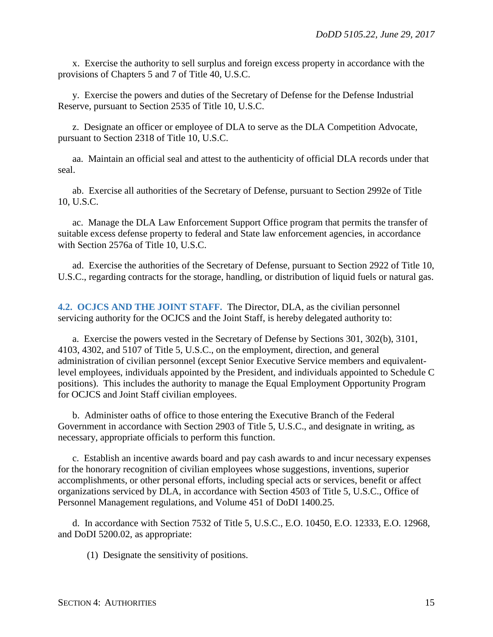x. Exercise the authority to sell surplus and foreign excess property in accordance with the provisions of Chapters 5 and 7 of Title 40, U.S.C.

y. Exercise the powers and duties of the Secretary of Defense for the Defense Industrial Reserve, pursuant to Section 2535 of Title 10, U.S.C.

z. Designate an officer or employee of DLA to serve as the DLA Competition Advocate, pursuant to Section 2318 of Title 10, U.S.C.

aa. Maintain an official seal and attest to the authenticity of official DLA records under that seal.

ab. Exercise all authorities of the Secretary of Defense, pursuant to Section 2992e of Title 10, U.S.C.

ac. Manage the DLA Law Enforcement Support Office program that permits the transfer of suitable excess defense property to federal and State law enforcement agencies, in accordance with Section 2576a of Title 10, U.S.C.

ad. Exercise the authorities of the Secretary of Defense, pursuant to Section 2922 of Title 10, U.S.C., regarding contracts for the storage, handling, or distribution of liquid fuels or natural gas.

**4.2. OCJCS AND THE JOINT STAFF.** The Director, DLA, as the civilian personnel servicing authority for the OCJCS and the Joint Staff, is hereby delegated authority to:

a. Exercise the powers vested in the Secretary of Defense by Sections 301, 302(b), 3101, 4103, 4302, and 5107 of Title 5, U.S.C., on the employment, direction, and general administration of civilian personnel (except Senior Executive Service members and equivalentlevel employees, individuals appointed by the President, and individuals appointed to Schedule C positions). This includes the authority to manage the Equal Employment Opportunity Program for OCJCS and Joint Staff civilian employees.

b. Administer oaths of office to those entering the Executive Branch of the Federal Government in accordance with Section 2903 of Title 5, U.S.C., and designate in writing, as necessary, appropriate officials to perform this function.

c. Establish an incentive awards board and pay cash awards to and incur necessary expenses for the honorary recognition of civilian employees whose suggestions, inventions, superior accomplishments, or other personal efforts, including special acts or services, benefit or affect organizations serviced by DLA, in accordance with Section 4503 of Title 5, U.S.C., Office of Personnel Management regulations, and Volume 451 of DoDI 1400.25.

d. In accordance with Section 7532 of Title 5, U.S.C., E.O. 10450, E.O. 12333, E.O. 12968, and DoDI 5200.02, as appropriate:

(1) Designate the sensitivity of positions.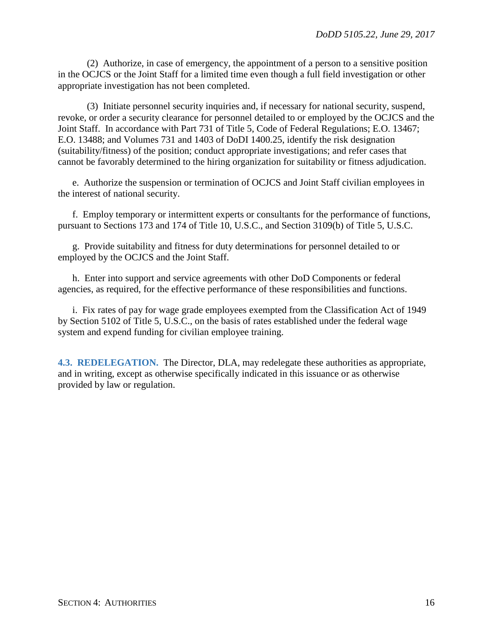(2) Authorize, in case of emergency, the appointment of a person to a sensitive position in the OCJCS or the Joint Staff for a limited time even though a full field investigation or other appropriate investigation has not been completed.

(3) Initiate personnel security inquiries and, if necessary for national security, suspend, revoke, or order a security clearance for personnel detailed to or employed by the OCJCS and the Joint Staff. In accordance with Part 731 of Title 5, Code of Federal Regulations; E.O. 13467; E.O. 13488; and Volumes 731 and 1403 of DoDI 1400.25, identify the risk designation (suitability/fitness) of the position; conduct appropriate investigations; and refer cases that cannot be favorably determined to the hiring organization for suitability or fitness adjudication.

e. Authorize the suspension or termination of OCJCS and Joint Staff civilian employees in the interest of national security.

f. Employ temporary or intermittent experts or consultants for the performance of functions, pursuant to Sections 173 and 174 of Title 10, U.S.C., and Section 3109(b) of Title 5, U.S.C.

g. Provide suitability and fitness for duty determinations for personnel detailed to or employed by the OCJCS and the Joint Staff.

h. Enter into support and service agreements with other DoD Components or federal agencies, as required, for the effective performance of these responsibilities and functions.

i. Fix rates of pay for wage grade employees exempted from the Classification Act of 1949 by Section 5102 of Title 5, U.S.C., on the basis of rates established under the federal wage system and expend funding for civilian employee training.

**4.3. REDELEGATION.** The Director, DLA, may redelegate these authorities as appropriate, and in writing, except as otherwise specifically indicated in this issuance or as otherwise provided by law or regulation.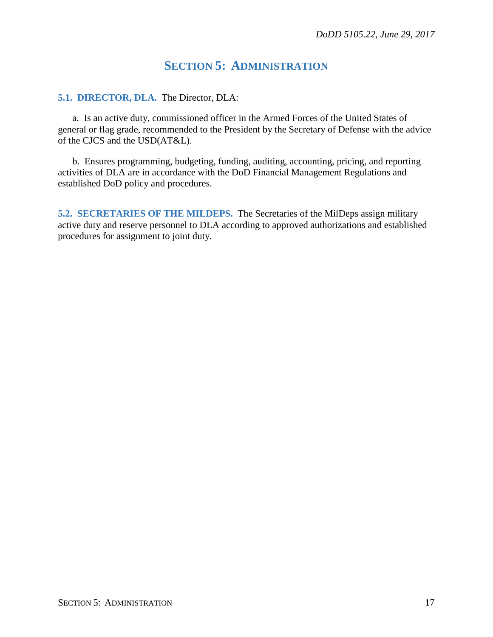### **SECTION 5: ADMINISTRATION**

#### **5.1. DIRECTOR, DLA.** The Director, DLA:

a. Is an active duty, commissioned officer in the Armed Forces of the United States of general or flag grade, recommended to the President by the Secretary of Defense with the advice of the CJCS and the USD(AT&L).

b. Ensures programming, budgeting, funding, auditing, accounting, pricing, and reporting activities of DLA are in accordance with the DoD Financial Management Regulations and established DoD policy and procedures.

**5.2. SECRETARIES OF THE MILDEPS.** The Secretaries of the MilDeps assign military active duty and reserve personnel to DLA according to approved authorizations and established procedures for assignment to joint duty.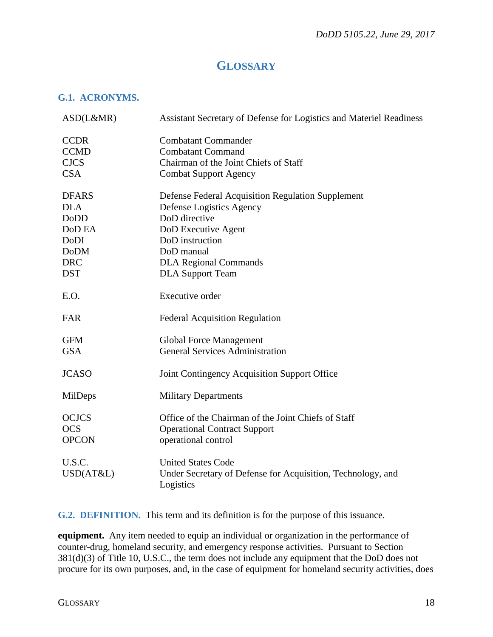### **GLOSSARY**

#### **G.1. ACRONYMS.**

| ASD(L&MR)    | Assistant Secretary of Defense for Logistics and Materiel Readiness      |
|--------------|--------------------------------------------------------------------------|
| <b>CCDR</b>  | <b>Combatant Commander</b>                                               |
| <b>CCMD</b>  | <b>Combatant Command</b>                                                 |
| <b>CJCS</b>  | Chairman of the Joint Chiefs of Staff                                    |
| <b>CSA</b>   | <b>Combat Support Agency</b>                                             |
| <b>DFARS</b> | Defense Federal Acquisition Regulation Supplement                        |
| <b>DLA</b>   | Defense Logistics Agency                                                 |
| <b>DoDD</b>  | DoD directive                                                            |
| DoD EA       | DoD Executive Agent                                                      |
| DoDI         | DoD instruction                                                          |
| <b>DoDM</b>  | DoD manual                                                               |
| <b>DRC</b>   | <b>DLA Regional Commands</b>                                             |
| <b>DST</b>   | <b>DLA Support Team</b>                                                  |
| E.O.         | <b>Executive order</b>                                                   |
| <b>FAR</b>   | <b>Federal Acquisition Regulation</b>                                    |
| <b>GFM</b>   | <b>Global Force Management</b>                                           |
| <b>GSA</b>   | <b>General Services Administration</b>                                   |
| <b>JCASO</b> | Joint Contingency Acquisition Support Office                             |
| MilDeps      | <b>Military Departments</b>                                              |
| <b>OCJCS</b> | Office of the Chairman of the Joint Chiefs of Staff                      |
| <b>OCS</b>   | <b>Operational Contract Support</b>                                      |
| <b>OPCON</b> | operational control                                                      |
| U.S.C.       | <b>United States Code</b>                                                |
| USD(AT&L)    | Under Secretary of Defense for Acquisition, Technology, and<br>Logistics |

**G.2. DEFINITION.** This term and its definition is for the purpose of this issuance.

**equipment.** Any item needed to equip an individual or organization in the performance of counter-drug, homeland security, and emergency response activities. Pursuant to Section 381(d)(3) of Title 10, U.S.C., the term does not include any equipment that the DoD does not procure for its own purposes, and, in the case of equipment for homeland security activities, does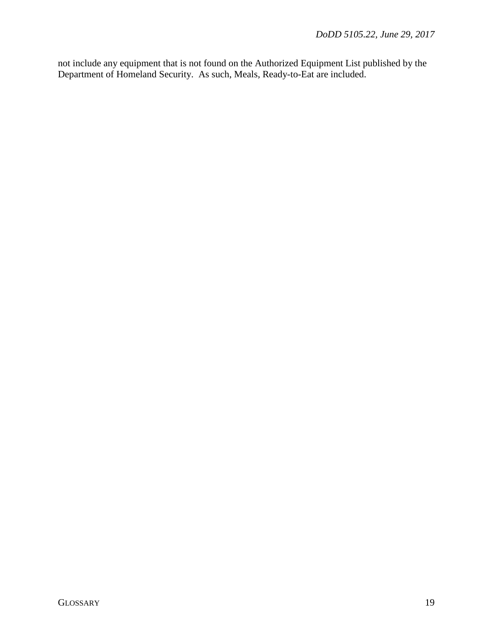not include any equipment that is not found on the Authorized Equipment List published by the Department of Homeland Security. As such, Meals, Ready-to-Eat are included.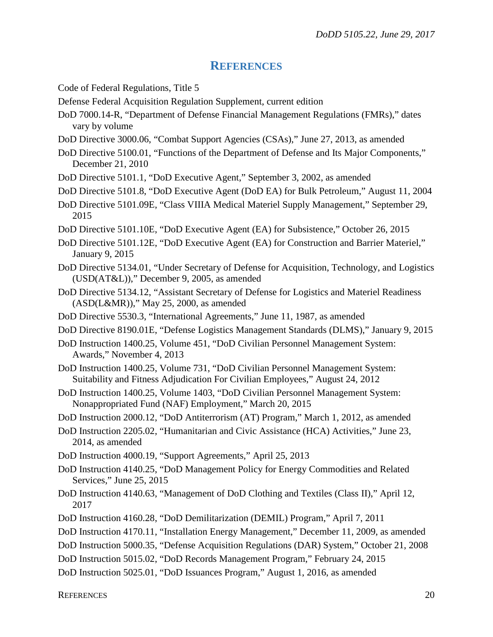#### **REFERENCES**

- Code of Federal Regulations, Title 5
- Defense Federal Acquisition Regulation Supplement, current edition
- DoD 7000.14-R, "Department of Defense Financial Management Regulations (FMRs)," dates vary by volume
- DoD Directive 3000.06, "Combat Support Agencies (CSAs)," June 27, 2013, as amended
- DoD Directive 5100.01, "Functions of the Department of Defense and Its Major Components," December 21, 2010
- DoD Directive 5101.1, "DoD Executive Agent," September 3, 2002, as amended
- DoD Directive 5101.8, "DoD Executive Agent (DoD EA) for Bulk Petroleum," August 11, 2004
- DoD Directive 5101.09E, "Class VIIIA Medical Materiel Supply Management," September 29, 2015
- DoD Directive 5101.10E, "DoD Executive Agent (EA) for Subsistence," October 26, 2015
- DoD Directive 5101.12E, "DoD Executive Agent (EA) for Construction and Barrier Materiel," January 9, 2015
- DoD Directive 5134.01, "Under Secretary of Defense for Acquisition, Technology, and Logistics (USD(AT&L))," December 9, 2005, as amended
- DoD Directive 5134.12, "Assistant Secretary of Defense for Logistics and Materiel Readiness (ASD(L&MR))," May 25, 2000, as amended
- DoD Directive 5530.3, "International Agreements," June 11, 1987, as amended
- DoD Directive 8190.01E, "Defense Logistics Management Standards (DLMS)," January 9, 2015
- DoD Instruction 1400.25, Volume 451, "DoD Civilian Personnel Management System: Awards," November 4, 2013
- DoD Instruction 1400.25, Volume 731, "DoD Civilian Personnel Management System: Suitability and Fitness Adjudication For Civilian Employees," August 24, 2012
- DoD Instruction 1400.25, Volume 1403, "DoD Civilian Personnel Management System: Nonappropriated Fund (NAF) Employment," March 20, 2015
- DoD Instruction 2000.12, "DoD Antiterrorism (AT) Program," March 1, 2012, as amended
- DoD Instruction 2205.02, "Humanitarian and Civic Assistance (HCA) Activities," June 23, 2014, as amended
- DoD Instruction 4000.19, "Support Agreements," April 25, 2013
- DoD Instruction 4140.25, "DoD Management Policy for Energy Commodities and Related Services," June 25, 2015
- DoD Instruction 4140.63, "Management of DoD Clothing and Textiles (Class II)," April 12, 2017
- DoD Instruction 4160.28, "DoD Demilitarization (DEMIL) Program," April 7, 2011
- DoD Instruction 4170.11, "Installation Energy Management," December 11, 2009, as amended
- DoD Instruction 5000.35, "Defense Acquisition Regulations (DAR) System," October 21, 2008
- DoD Instruction 5015.02, "DoD Records Management Program," February 24, 2015

DoD Instruction 5025.01, "DoD Issuances Program," August 1, 2016, as amended

REFERENCES 20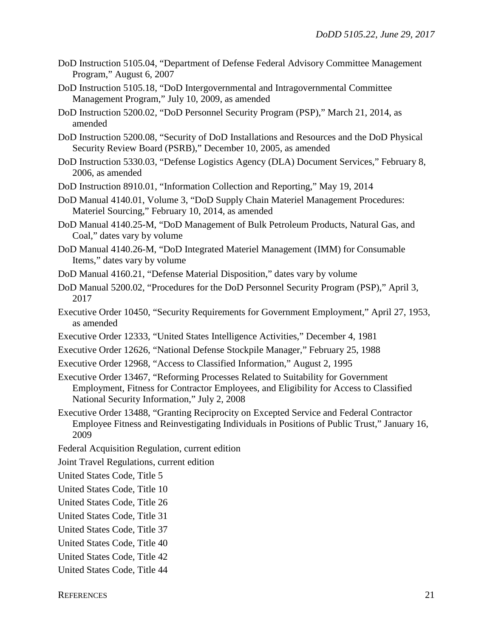- DoD Instruction 5105.04, "Department of Defense Federal Advisory Committee Management Program," August 6, 2007
- DoD Instruction 5105.18, "DoD Intergovernmental and Intragovernmental Committee Management Program," July 10, 2009, as amended
- DoD Instruction 5200.02, "DoD Personnel Security Program (PSP)," March 21, 2014, as amended
- DoD Instruction 5200.08, "Security of DoD Installations and Resources and the DoD Physical Security Review Board (PSRB)," December 10, 2005, as amended
- DoD Instruction 5330.03, "Defense Logistics Agency (DLA) Document Services," February 8, 2006, as amended
- DoD Instruction 8910.01, "Information Collection and Reporting," May 19, 2014
- DoD Manual 4140.01, Volume 3, "DoD Supply Chain Materiel Management Procedures: Materiel Sourcing," February 10, 2014, as amended
- DoD Manual 4140.25-M, "DoD Management of Bulk Petroleum Products, Natural Gas, and Coal," dates vary by volume
- DoD Manual 4140.26-M, "DoD Integrated Materiel Management (IMM) for Consumable Items," dates vary by volume
- DoD Manual 4160.21, "Defense Material Disposition," dates vary by volume
- DoD Manual 5200.02, "Procedures for the DoD Personnel Security Program (PSP)," April 3, 2017
- Executive Order 10450, "Security Requirements for Government Employment," April 27, 1953, as amended
- Executive Order 12333, "United States Intelligence Activities," December 4, 1981
- Executive Order 12626, "National Defense Stockpile Manager," February 25, 1988
- Executive Order 12968, "Access to Classified Information," August 2, 1995
- Executive Order 13467, "Reforming Processes Related to Suitability for Government Employment, Fitness for Contractor Employees, and Eligibility for Access to Classified National Security Information," July 2, 2008
- Executive Order 13488, "Granting Reciprocity on Excepted Service and Federal Contractor Employee Fitness and Reinvestigating Individuals in Positions of Public Trust," January 16, 2009
- Federal Acquisition Regulation, current edition
- Joint Travel Regulations, current edition
- United States Code, Title 5
- United States Code, Title 10
- United States Code, Title 26
- United States Code, Title 31
- United States Code, Title 37
- United States Code, Title 40
- United States Code, Title 42
- United States Code, Title 44